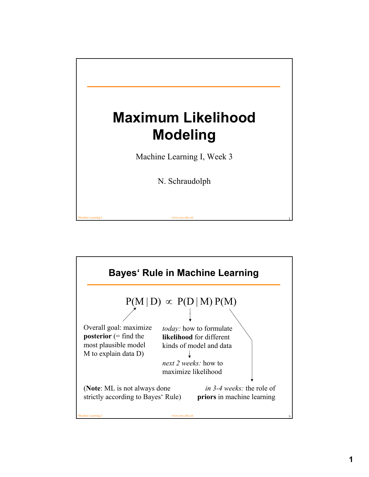

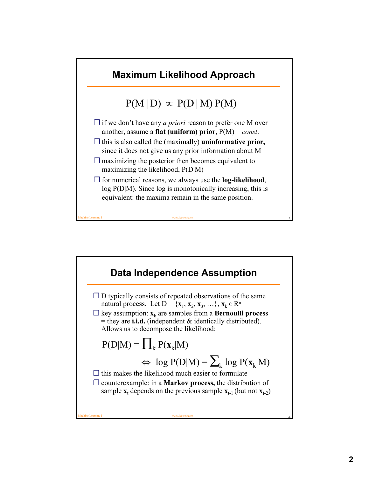

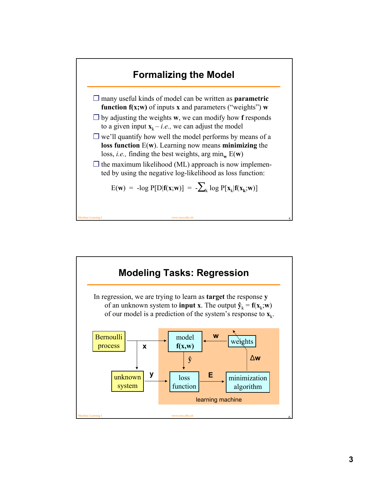

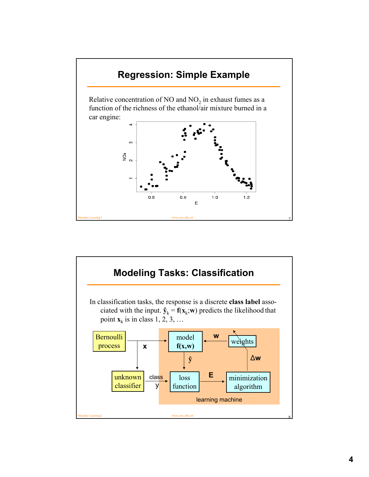

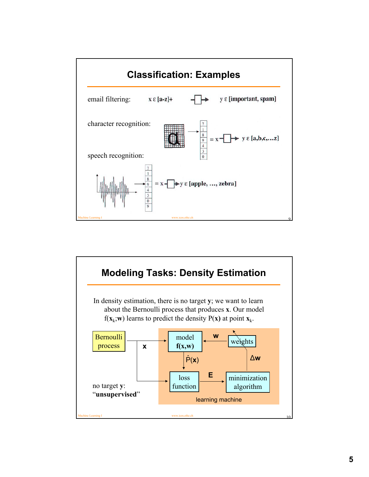

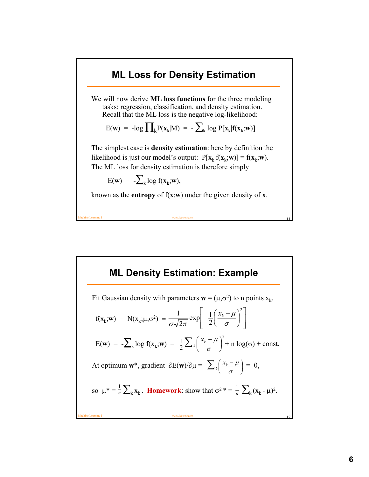#### **ML Loss for Density Estimation**

We will now derive **ML loss functions** for the three modeling tasks: regression, classification, and density estimation. Recall that the ML loss is the negative log-likelihood:

$$
E(\mathbf{w}) = -\log \prod\nolimits_{k} P(\mathbf{x}_k | M) = -\sum\nolimits_{k} \log P[\mathbf{x}_k | \mathbf{f}(\mathbf{x}_k; \mathbf{w})]
$$

The simplest case is **density estimation**: here by definition the likelihood is just our model's output:  $P[x_k|f(x_k; w)] = f(x_k; w)$ . The ML loss for density estimation is therefore simply

$$
E(\mathbf{w}) = -\sum_{k} \log f(\mathbf{x}_k; \mathbf{w}),
$$

known as the **entropy** of f(**x**;**w**) under the given density of **x**.

Machine Learning I www.icos.ethz.ch 11

#### **ML Density Estimation: Example**

Machine Learning I www.icos.ethz.ch 12 Fit Gaussian density with parameters  $\mathbf{w} = (\mu, \sigma^2)$  to n points  $x_k$ .  $f(x_k; w) = N(x_k; \mu, \sigma^2) =$  $E(\mathbf{w}) = -\sum_{k} \log f(x_k; \mathbf{w}) = \frac{1}{2} \sum_{k} \left( \frac{x_k - \mu}{\sigma} \right)^2 + n \log(\sigma) + \text{const.}$ At optimum **w**\*, gradient  $\partial E(\mathbf{w})/\partial \mu = -\sum_k \left| \frac{x_k - \mu}{n} \right| = 0$ , so  $\mu^* = \frac{1}{n} \sum_{k} x_k$ . **Homework**: show that  $\sigma^2 = \frac{1}{n} \sum_{k} (x_k - \mu)^2$ .  $\overline{\phantom{a}}$  $\overline{\phantom{a}}$  $\rfloor$  $\overline{\phantom{a}}$  $\mathsf{L}$ L L  $-\frac{1}{2}\left(\frac{x_k-\mu}{\mu}\right)$ J  $\left(\frac{x_k-\mu}{\mu}\right)$  $\setminus$  $-\frac{1}{2}\left(\frac{x_k-\mu}{x_k}\right)^2$  $rac{1}{\sqrt{2\pi}} \exp \left(-\frac{1}{2}\right)$ σ  $\mu$  $\sigma$ ν 2 $\pi$ *k x*  $\frac{1}{2}\sum_{k} \left( \frac{x_k - \mu}{\sigma} \right)$ J  $\left(\frac{x_k-\mu}{\mu}\right)$  $\setminus$  $\sum_{k} \left( \frac{x_k - \sigma_k}{\sigma_k} \right)$  $\frac{x_k - \mu}{\sigma}$ *x* J  $\left(\frac{x_k-\mu}{\mu}\right)$ J  $\sum_{k} \left( \frac{x_k - \sigma_k}{\sigma_k} \right)$  $\left| \frac{x_k - \mu}{\mu} \right|$ *x* 1 *n* 1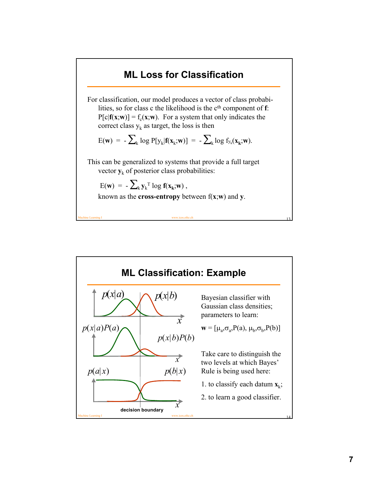## **ML Loss for Classification**

For classification, our model produces a vector of class probabilities, so for class c the likelihood is the c<sup>th</sup> component of **f**:  $P[c|f(x; w)] = f_c(x; w)$ . For a system that only indicates the correct class  $y_k$  as target, the loss is then

$$
E(\mathbf{w}) = -\sum_{k} \log P[y_k | \mathbf{f}(\mathbf{x}_k; \mathbf{w})] = -\sum_{k} \log f_{y_k}(\mathbf{x}_k; \mathbf{w}).
$$

This can be generalized to systems that provide a full target vector  $y_k$  of posterior class probabilities:

$$
E(\mathbf{w}) = -\sum_{k} \mathbf{y}_{k}^{\mathrm{T}} \log \mathbf{f}(\mathbf{x}_{k}; \mathbf{w}),
$$

known as the **cross-entropy** between f(**x**;**w**) and **y**.

Machine Learning I www.icos.ethz.ch 13

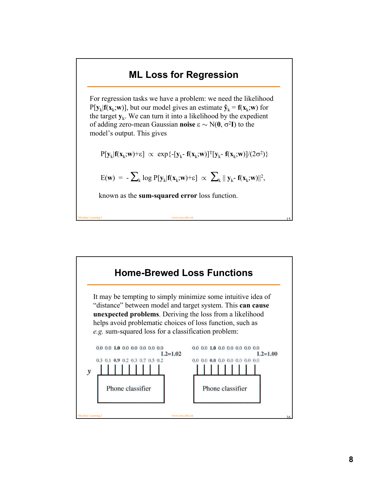## **ML Loss for Regression**

For regression tasks we have a problem: we need the likelihood  $P[y_k|f(x_k; w)]$ , but our model gives an estimate  $\hat{y}_k = f(x_k; w)$  for the target  $\mathbf{y}_k$ . We can turn it into a likelihood by the expedient of adding zero-mean Gaussian **noise** ε ∼ N(**0**, σ<sup>2</sup>**I**) to the model's output. This gives

$$
P[\mathbf{y}_k|\mathbf{f}(\mathbf{x}_k;\!\mathbf{w})\!+\!\epsilon]\;\propto\; \text{exp}\{-[\mathbf{y}_k\text{-}\,\mathbf{f}(\mathbf{x}_k\!;\!\mathbf{w})]^T[\mathbf{y}_k\text{-}\,\mathbf{f}(\mathbf{x}_k\!;\!\mathbf{w})]/(2\sigma^2)\}
$$

$$
E(\mathbf{w})\,=\,-\sum\nolimits_k\,\log\,P[\mathbf{y}_k|\mathbf{f}(\mathbf{x}_k;\!\mathbf{w})\!+\!\epsilon]\,\,\propto\,\,\sum\nolimits_k\,\|\,\mathbf{y}_k\text{-}\,\mathbf{f}(\mathbf{x}_k;\!\mathbf{w})\|^2,
$$

Machine Learning I www.icos.ethz.ch 15

known as the **sum-squared error** loss function.